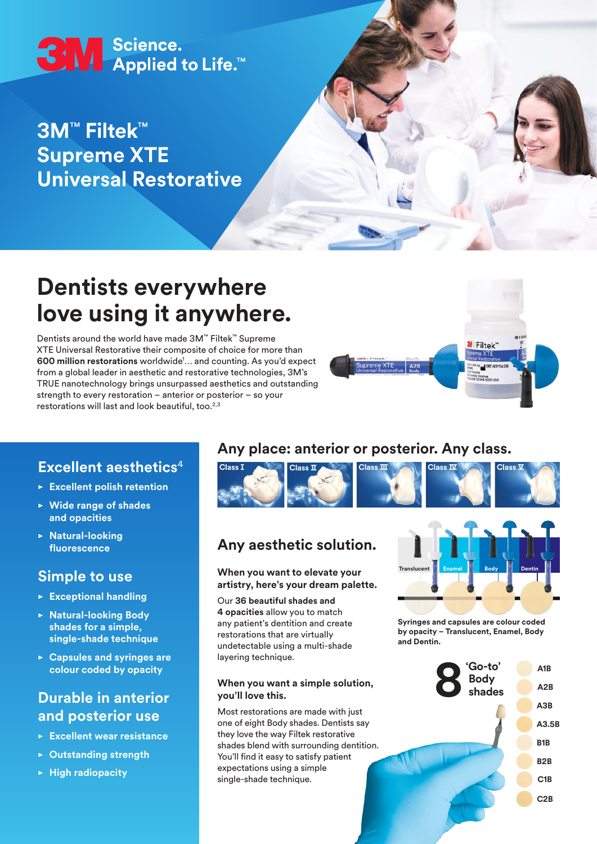# **3M** Science.<br>Applied to Life.

# **3M**™ **Filtek**™ **Supreme XTE Universal Restorative**

# **Dentists everywhere love using it anywhere.**

Dentists around the world have made 3M™ Filtek™ Supreme XTE Universal Restorative their composite of choice for more than 600 million restorations worldwide<sup>1</sup>... and counting. As you'd expect from a global leader in aesthetic and restorative technologies, 3M's TRUE nanotechnology brings unsurpassed aesthetics and outstanding strength to every restoration – anterior or posterior – so your restorations will last and look beautiful, too.<sup>2,3</sup>



# **Excellent aesthetics**<sup>4</sup>

- **• Excellent polish retention**
- **• Wide range of shades and opacities**
- **• Natural-looking fluorescence**

### **Simple to use**

- **• Exceptional handling**
- **• Natural-looking Body shades for a simple, single-shade technique**
- **• Capsules and syringes are colour coded by opacity**

# **Durable in anterior and posterior use**

- **• Excellent wear resistance**
- **• Outstanding strength**
- **• High radiopacity**

# **Any place: anterior or posterior. Any class.**



# **Any aesthetic solution.**

**When you want to elevate your artistry, here's your dream palette.**

Our **36 beautiful shades and 4 opacities** allow you to match any patient's dentition and create restorations that are virtually undetectable using a multi-shade layering technique.

#### **When you want a simple solution, you'll love this.**

Most restorations are made with just one of eight Body shades. Dentists say they love the way Filtek restorative shades blend with surrounding dentition. You'll find it easy to satisfy patient expectations using a simple single-shade technique.



**Syringes and capsules are colour coded by opacity – Translucent, Enamel, Body and Dentin.**